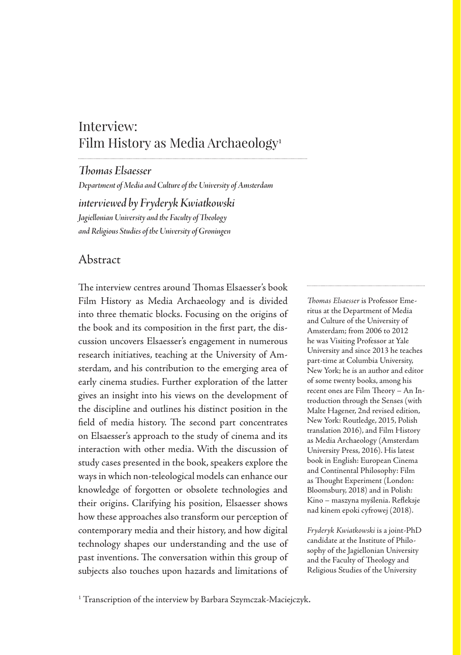# Interview: Film History as Media Archaeology1

*Thomas Elsaesser*

*Department of Media and Culture of the University of Amsterdam*

*interviewed by Fryderyk Kwiatkowski Jagiellonian University and the Faculty of Theology and Religious Studies of the University of Groningen*

#### Abstract

The interview centres around Thomas Elsaesser's book Film History as Media Archaeology and is divided into three thematic blocks. Focusing on the origins of the book and its composition in the first part, the discussion uncovers Elsaesser's engagement in numerous research initiatives, teaching at the University of Amsterdam, and his contribution to the emerging area of early cinema studies. Further exploration of the latter gives an insight into his views on the development of the discipline and outlines his distinct position in the field of media history. The second part concentrates on Elsaesser's approach to the study of cinema and its interaction with other media. With the discussion of study cases presented in the book, speakers explore the ways in which non-teleological models can enhance our knowledge of forgotten or obsolete technologies and their origins. Clarifying his position, Elsaesser shows how these approaches also transform our perception of contemporary media and their history, and how digital technology shapes our understanding and the use of past inventions. The conversation within this group of subjects also touches upon hazards and limitations of

*Thomas Elsaesser* is Professor Emeritus at the Department of Media and Culture of the University of Amsterdam; from 2006 to 2012 he was Visiting Professor at Yale University and since 2013 he teaches part-time at Columbia University, New York; he is an author and editor of some twenty books, among his recent ones are Film Theory – An Introduction through the Senses (with Malte Hagener, 2nd revised edition, New York: Routledge, 2015, Polish translation 2016), and Film History as Media Archaeology (Amsterdam University Press, 2016). His latest book in English: European Cinema and Continental Philosophy: Film as Thought Experiment (London: Bloomsbury, 2018) and in Polish: Kino – maszyna myślenia. Refleksje nad kinem epoki cyfrowej (2018).

*Fryderyk Kwiatkowski* is a joint-PhD candidate at the Institute of Philosophy of the Jagiellonian University and the Faculty of Theology and Religious Studies of the University

<sup>&</sup>lt;sup>1</sup> Transcription of the interview by Barbara Szymczak-Maciejczyk.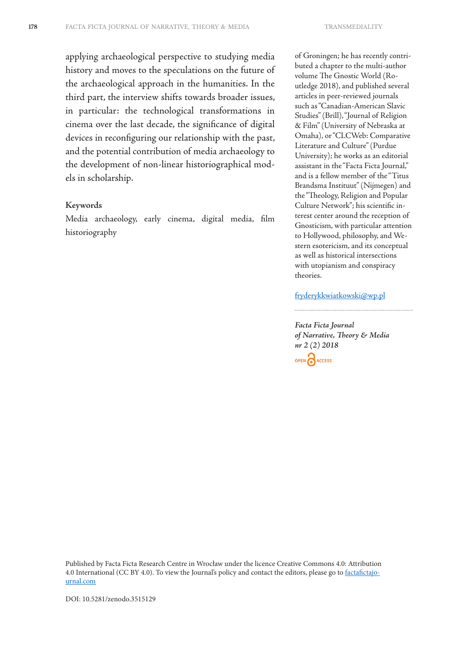applying archaeological perspective to studying media history and moves to the speculations on the future of the archaeological approach in the humanities. In the third part, the interview shifts towards broader issues, in particular: the technological transformations in cinema over the last decade, the significance of digital devices in reconfiguring our relationship with the past, and the potential contribution of media archaeology to the development of non-linear historiographical models in scholarship.

#### **Keywords**

Media archaeology, early cinema, digital media, film historiography

of Groningen; he has recently contributed a chapter to the multi-author volume The Gnostic World (Routledge 2018), and published several articles in peer-reviewed journals such as "Canadian-American Slavic Studies" (Brill), "Journal of Religion & Film" (University of Nebraska at Omaha), or "CLCWeb: Comparative Literature and Culture" (Purdue University); he works as an editorial assistant in the "Facta Ficta Journal," and is a fellow member of the "Titus Brandsma Instituut" (Nijmegen) and the "Theology, Religion and Popular Culture Network"; his scientific interest center around the reception of Gnosticism, with particular attention to Hollywood, philosophy, and Western esotericism, and its conceptual as well as historical intersections with utopianism and conspiracy theories.

#### fryderykkwiatkowski@wp.pl

*Facta Ficta Journal of Narrative, Theory & Media nr 2 (2) 2018* OPEN CACCESS

Published by Facta Ficta Research Centre in Wrocław under the licence Creative Commons 4.0: Attribution 4.0 International (CC BY 4.0). To view the Journal's policy and contact the editors, please go to factafictajournal.com

DOI: 10.5281/zenodo.3515129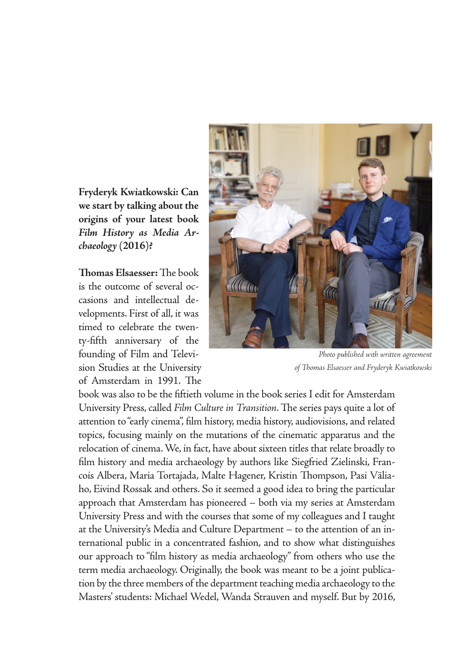**Fryderyk Kwiatkowski: Can we start by talking about the origins of your latest book**  *Film History as Media Archaeology* **(2016)?**

**Thomas Elsaesser:** The book is the outcome of several occasions and intellectual developments. First of all, it was timed to celebrate the twenty-fifth anniversary of the founding of Film and Television Studies at the University of Amsterdam in 1991. The



*Photo published with written agreement of Thomas Elsaesser and Fryderyk Kwiatkowski*

book was also to be the fiftieth volume in the book series I edit for Amsterdam University Press, called *Film Culture in Transition*. The series pays quite a lot of attention to "early cinema", film history, media history, audiovisions, and related topics, focusing mainly on the mutations of the cinematic apparatus and the relocation of cinema. We, in fact, have about sixteen titles that relate broadly to film history and media archaeology by authors like Siegfried Zielinski, Francois Albera, Maria Tortajada, Malte Hagener, Kristin Thompson, Pasi Väliaho, Eivind Rossak and others. So it seemed a good idea to bring the particular approach that Amsterdam has pioneered – both via my series at Amsterdam University Press and with the courses that some of my colleagues and I taught at the University's Media and Culture Department – to the attention of an international public in a concentrated fashion, and to show what distinguishes our approach to "film history as media archaeology" from others who use the term media archaeology. Originally, the book was meant to be a joint publication by the three members of the department teaching media archaeology to the Masters' students: Michael Wedel, Wanda Strauven and myself. But by 2016,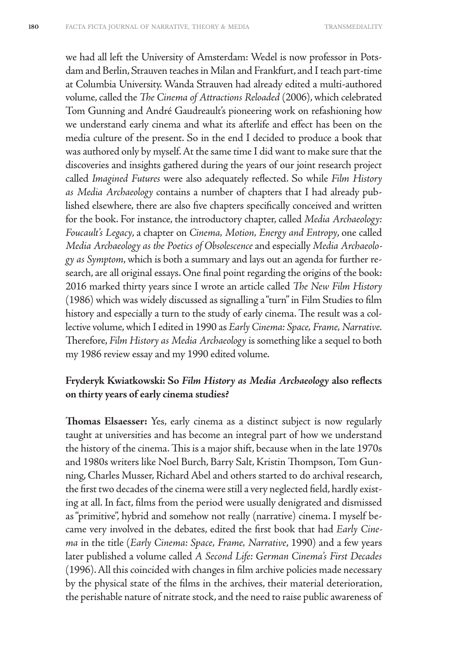we had all left the University of Amsterdam: Wedel is now professor in Potsdam and Berlin, Strauven teaches in Milan and Frankfurt, and I teach part-time at Columbia University. Wanda Strauven had already edited a multi-authored volume, called the *The Cinema of Attractions Reloaded* (2006), which celebrated Tom Gunning and André Gaudreault's pioneering work on refashioning how we understand early cinema and what its afterlife and effect has been on the media culture of the present. So in the end I decided to produce a book that was authored only by myself. At the same time I did want to make sure that the discoveries and insights gathered during the years of our joint research project called *Imagined Futures* were also adequately reflected. So while *Film History as Media Archaeology* contains a number of chapters that I had already published elsewhere, there are also five chapters specifically conceived and written for the book. For instance, the introductory chapter, called *Media Archaeology: Foucault's Legacy*, a chapter on *Cinema, Motion, Energy and Entropy*, one called *Media Archaeology as the Poetics of Obsolescence* and especially *Media Archaeology as Symptom*, which is both a summary and lays out an agenda for further research, are all original essays. One final point regarding the origins of the book: 2016 marked thirty years since I wrote an article called *The New Film History*  (1986) which was widely discussed as signalling a "turn" in Film Studies to film history and especially a turn to the study of early cinema. The result was a collective volume, which I edited in 1990 as *Early Cinema: Space, Frame, Narrative.*  Therefore, *Film History as Media Archaeology* is something like a sequel to both my 1986 review essay and my 1990 edited volume.

#### **Fryderyk Kwiatkowski: So** *Film History as Media Archaeology* **also reflects on thirty years of early cinema studies?**

**Thomas Elsaesser:** Yes, early cinema as a distinct subject is now regularly taught at universities and has become an integral part of how we understand the history of the cinema. This is a major shift, because when in the late 1970s and 1980s writers like Noel Burch, Barry Salt, Kristin Thompson, Tom Gunning, Charles Musser, Richard Abel and others started to do archival research, the first two decades of the cinema were still a very neglected field, hardly existing at all. In fact, films from the period were usually denigrated and dismissed as "primitive", hybrid and somehow not really (narrative) cinema. I myself became very involved in the debates, edited the first book that had *Early Cinema* in the title (*Early Cinema: Space, Frame, Narrative*, 1990) and a few years later published a volume called *A Second Life: German Cinema's First Decades* (1996). All this coincided with changes in film archive policies made necessary by the physical state of the films in the archives, their material deterioration, the perishable nature of nitrate stock, and the need to raise public awareness of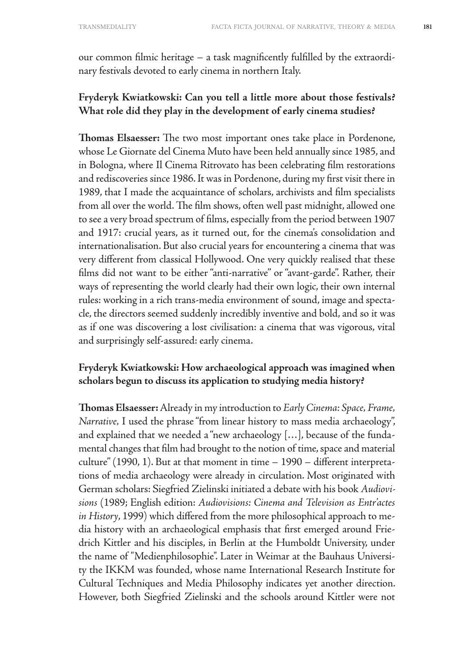our common filmic heritage – a task magnificently fulfilled by the extraordinary festivals devoted to early cinema in northern Italy.

#### **Fryderyk Kwiatkowski: Can you tell a little more about those festivals? What role did they play in the development of early cinema studies?**

**Thomas Elsaesser:** The two most important ones take place in Pordenone, whose Le Giornate del Cinema Muto have been held annually since 1985, and in Bologna, where Il Cinema Ritrovato has been celebrating film restorations and rediscoveries since 1986. It was in Pordenone, during my first visit there in 1989, that I made the acquaintance of scholars, archivists and film specialists from all over the world. The film shows, often well past midnight, allowed one to see a very broad spectrum of films, especially from the period between 1907 and 1917: crucial years, as it turned out, for the cinema's consolidation and internationalisation. But also crucial years for encountering a cinema that was very different from classical Hollywood. One very quickly realised that these films did not want to be either "anti-narrative" or "avant-garde". Rather, their ways of representing the world clearly had their own logic, their own internal rules: working in a rich trans-media environment of sound, image and spectacle, the directors seemed suddenly incredibly inventive and bold, and so it was as if one was discovering a lost civilisation: a cinema that was vigorous, vital and surprisingly self-assured: early cinema.

#### **Fryderyk Kwiatkowski: How archaeological approach was imagined when scholars begun to discuss its application to studying media history?**

**Thomas Elsaesser:** Already in my introduction to *Early Cinema: Space, Frame, Narrative,* I used the phrase "from linear history to mass media archaeology", and explained that we needed a "new archaeology […], because of the fundamental changes that film had brought to the notion of time, space and material culture" (1990, 1). But at that moment in time – 1990 – different interpretations of media archaeology were already in circulation. Most originated with German scholars: Siegfried Zielinski initiated a debate with his book *Audiovisions* (1989; English edition: *Audiovisions: Cinema and Television as Entr'actes in History*, 1999) which differed from the more philosophical approach to media history with an archaeological emphasis that first emerged around Friedrich Kittler and his disciples, in Berlin at the Humboldt University, under the name of "Medienphilosophie". Later in Weimar at the Bauhaus University the IKKM was founded, whose name International Research Institute for Cultural Techniques and Media Philosophy indicates yet another direction. However, both Siegfried Zielinski and the schools around Kittler were not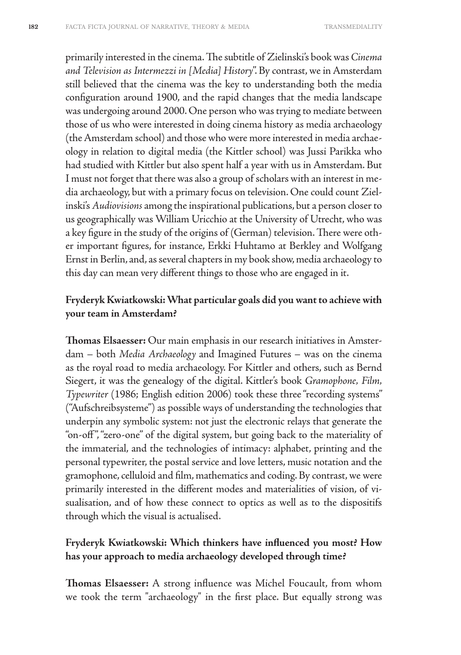primarily interested in the cinema. The subtitle of Zielinski's book was *Cinema and Television as Intermezzi in [Media] History*". By contrast, we in Amsterdam still believed that the cinema was the key to understanding both the media configuration around 1900, and the rapid changes that the media landscape was undergoing around 2000. One person who was trying to mediate between those of us who were interested in doing cinema history as media archaeology (the Amsterdam school) and those who were more interested in media archaeology in relation to digital media (the Kittler school) was Jussi Parikka who had studied with Kittler but also spent half a year with us in Amsterdam. But I must not forget that there was also a group of scholars with an interest in media archaeology, but with a primary focus on television. One could count Zielinski's *Audiovisions* among the inspirational publications, but a person closer to us geographically was William Uricchio at the University of Utrecht, who was a key figure in the study of the origins of (German) television. There were other important figures, for instance, Erkki Huhtamo at Berkley and Wolfgang Ernst in Berlin, and, as several chapters in my book show, media archaeology to this day can mean very different things to those who are engaged in it.

#### **Fryderyk Kwiatkowski: What particular goals did you want to achieve with your team in Amsterdam?**

**Thomas Elsaesser:** Our main emphasis in our research initiatives in Amsterdam – both *Media Archaeology* and Imagined Futures – was on the cinema as the royal road to media archaeology. For Kittler and others, such as Bernd Siegert, it was the genealogy of the digital. Kittler's book *Gramophone, Film, Typewriter* (1986; English edition 2006) took these three "recording systems" ("Aufschreibsysteme") as possible ways of understanding the technologies that underpin any symbolic system: not just the electronic relays that generate the "on-off ", "zero-one" of the digital system, but going back to the materiality of the immaterial, and the technologies of intimacy: alphabet, printing and the personal typewriter, the postal service and love letters, music notation and the gramophone, celluloid and film, mathematics and coding. By contrast, we were primarily interested in the different modes and materialities of vision, of visualisation, and of how these connect to optics as well as to the dispositifs through which the visual is actualised.

#### **Fryderyk Kwiatkowski: Which thinkers have influenced you most? How has your approach to media archaeology developed through time?**

**Thomas Elsaesser:** A strong influence was Michel Foucault, from whom we took the term "archaeology" in the first place. But equally strong was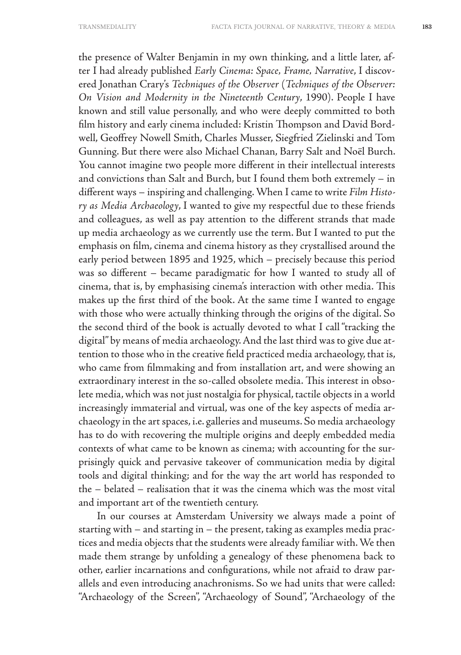the presence of Walter Benjamin in my own thinking, and a little later, after I had already published *Early Cinema: Space, Frame, Narrative*, I discovered Jonathan Crary's *Techniques of the Observer* (*Techniques of the Observer: On Vision and Modernity in the Nineteenth Century*, 1990). People I have known and still value personally, and who were deeply committed to both film history and early cinema included: Kristin Thompson and David Bordwell, Geoffrey Nowell Smith, Charles Musser, Siegfried Zielinski and Tom Gunning. But there were also Michael Chanan, Barry Salt and Noël Burch. You cannot imagine two people more different in their intellectual interests and convictions than Salt and Burch, but I found them both extremely – in different ways – inspiring and challenging. When I came to write *Film History as Media Archaeology*, I wanted to give my respectful due to these friends and colleagues, as well as pay attention to the different strands that made up media archaeology as we currently use the term. But I wanted to put the emphasis on film, cinema and cinema history as they crystallised around the early period between 1895 and 1925, which – precisely because this period was so different – became paradigmatic for how I wanted to study all of cinema, that is, by emphasising cinema's interaction with other media. This makes up the first third of the book. At the same time I wanted to engage with those who were actually thinking through the origins of the digital. So the second third of the book is actually devoted to what I call "tracking the digital" by means of media archaeology. And the last third was to give due attention to those who in the creative field practiced media archaeology, that is, who came from filmmaking and from installation art, and were showing an extraordinary interest in the so-called obsolete media. This interest in obsolete media, which was not just nostalgia for physical, tactile objects in a world increasingly immaterial and virtual, was one of the key aspects of media archaeology in the art spaces, i.e. galleries and museums. So media archaeology has to do with recovering the multiple origins and deeply embedded media contexts of what came to be known as cinema; with accounting for the surprisingly quick and pervasive takeover of communication media by digital tools and digital thinking; and for the way the art world has responded to the – belated – realisation that it was the cinema which was the most vital and important art of the twentieth century.

In our courses at Amsterdam University we always made a point of starting with – and starting in – the present, taking as examples media practices and media objects that the students were already familiar with. We then made them strange by unfolding a genealogy of these phenomena back to other, earlier incarnations and configurations, while not afraid to draw parallels and even introducing anachronisms. So we had units that were called: "Archaeology of the Screen", "Archaeology of Sound", "Archaeology of the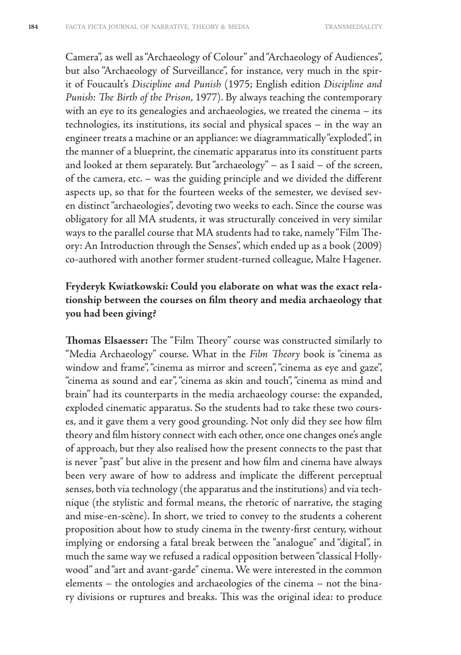Camera", as well as "Archaeology of Colour" and "Archaeology of Audiences", but also "Archaeology of Surveillance", for instance, very much in the spirit of Foucault's *Discipline and Punish* (1975; English edition *Discipline and Punish: The Birth of the Prison*, 1977). By always teaching the contemporary with an eye to its genealogies and archaeologies, we treated the cinema – its technologies, its institutions, its social and physical spaces – in the way an engineer treats a machine or an appliance: we diagrammatically "exploded", in the manner of a blueprint, the cinematic apparatus into its constituent parts and looked at them separately. But "archaeology" – as I said – of the screen, of the camera, etc. – was the guiding principle and we divided the different aspects up, so that for the fourteen weeks of the semester, we devised seven distinct "archaeologies", devoting two weeks to each. Since the course was obligatory for all MA students, it was structurally conceived in very similar ways to the parallel course that MA students had to take, namely "Film Theory: An Introduction through the Senses", which ended up as a book (2009) co-authored with another former student-turned colleague, Malte Hagener.

## **Fryderyk Kwiatkowski: Could you elaborate on what was the exact relationship between the courses on film theory and media archaeology that you had been giving?**

**Thomas Elsaesser:** The "Film Theory" course was constructed similarly to "Media Archaeology" course. What in the *Film Theory* book is "cinema as window and frame", "cinema as mirror and screen", "cinema as eye and gaze", "cinema as sound and ear", "cinema as skin and touch", "cinema as mind and brain" had its counterparts in the media archaeology course: the expanded, exploded cinematic apparatus. So the students had to take these two courses, and it gave them a very good grounding. Not only did they see how film theory and film history connect with each other, once one changes one's angle of approach, but they also realised how the present connects to the past that is never "past" but alive in the present and how film and cinema have always been very aware of how to address and implicate the different perceptual senses, both via technology (the apparatus and the institutions) and via technique (the stylistic and formal means, the rhetoric of narrative, the staging and mise-en-scène). In short, we tried to convey to the students a coherent proposition about how to study cinema in the twenty-first century, without implying or endorsing a fatal break between the "analogue" and "digital", in much the same way we refused a radical opposition between "classical Hollywood" and "art and avant-garde" cinema. We were interested in the common elements – the ontologies and archaeologies of the cinema – not the binary divisions or ruptures and breaks. This was the original idea: to produce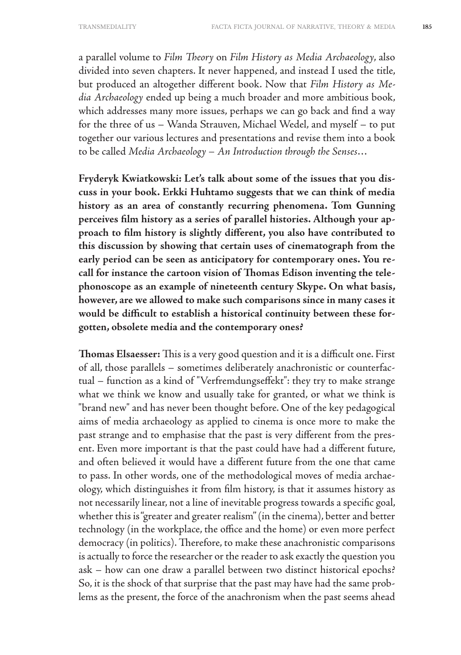a parallel volume to *Film Theory* on *Film History as Media Archaeology*, also divided into seven chapters. It never happened, and instead I used the title, but produced an altogether different book. Now that *Film History as Media Archaeology* ended up being a much broader and more ambitious book, which addresses many more issues, perhaps we can go back and find a way for the three of us – Wanda Strauven, Michael Wedel, and myself – to put together our various lectures and presentations and revise them into a book to be called *Media Archaeology – An Introduction through the Senses*…

**Fryderyk Kwiatkowski: Let's talk about some of the issues that you discuss in your book. Erkki Huhtamo suggests that we can think of media history as an area of constantly recurring phenomena. Tom Gunning perceives film history as a series of parallel histories. Although your approach to film history is slightly different, you also have contributed to this discussion by showing that certain uses of cinematograph from the early period can be seen as anticipatory for contemporary ones. You recall for instance the cartoon vision of Thomas Edison inventing the telephonoscope as an example of nineteenth century Skype. On what basis, however, are we allowed to make such comparisons since in many cases it would be difficult to establish a historical continuity between these forgotten, obsolete media and the contemporary ones?**

**Thomas Elsaesser:** This is a very good question and it is a difficult one. First of all, those parallels – sometimes deliberately anachronistic or counterfactual – function as a kind of "Verfremdungseffekt": they try to make strange what we think we know and usually take for granted, or what we think is "brand new" and has never been thought before. One of the key pedagogical aims of media archaeology as applied to cinema is once more to make the past strange and to emphasise that the past is very different from the present. Even more important is that the past could have had a different future, and often believed it would have a different future from the one that came to pass. In other words, one of the methodological moves of media archaeology, which distinguishes it from film history, is that it assumes history as not necessarily linear, not a line of inevitable progress towards a specific goal, whether this is "greater and greater realism" (in the cinema), better and better technology (in the workplace, the office and the home) or even more perfect democracy (in politics). Therefore, to make these anachronistic comparisons is actually to force the researcher or the reader to ask exactly the question you ask – how can one draw a parallel between two distinct historical epochs? So, it is the shock of that surprise that the past may have had the same problems as the present, the force of the anachronism when the past seems ahead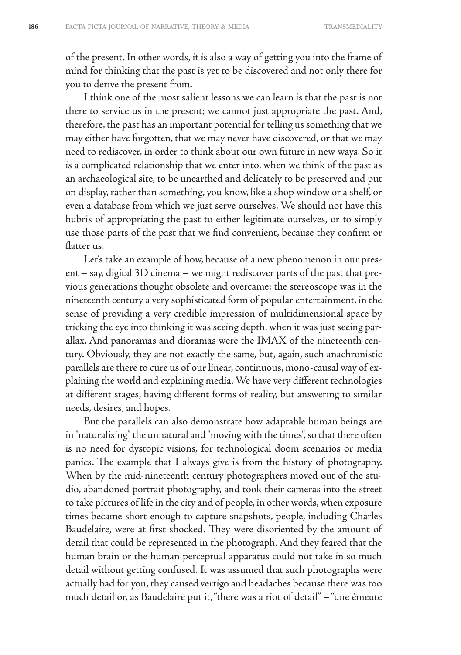of the present. In other words, it is also a way of getting you into the frame of mind for thinking that the past is yet to be discovered and not only there for you to derive the present from.

I think one of the most salient lessons we can learn is that the past is not there to service us in the present; we cannot just appropriate the past. And, therefore, the past has an important potential for telling us something that we may either have forgotten, that we may never have discovered, or that we may need to rediscover, in order to think about our own future in new ways. So it is a complicated relationship that we enter into, when we think of the past as an archaeological site, to be unearthed and delicately to be preserved and put on display, rather than something, you know, like a shop window or a shelf, or even a database from which we just serve ourselves. We should not have this hubris of appropriating the past to either legitimate ourselves, or to simply use those parts of the past that we find convenient, because they confirm or flatter us.

Let's take an example of how, because of a new phenomenon in our present – say, digital 3D cinema – we might rediscover parts of the past that previous generations thought obsolete and overcame: the stereoscope was in the nineteenth century a very sophisticated form of popular entertainment, in the sense of providing a very credible impression of multidimensional space by tricking the eye into thinking it was seeing depth, when it was just seeing parallax. And panoramas and dioramas were the IMAX of the nineteenth century. Obviously, they are not exactly the same, but, again, such anachronistic parallels are there to cure us of our linear, continuous, mono-causal way of explaining the world and explaining media. We have very different technologies at different stages, having different forms of reality, but answering to similar needs, desires, and hopes.

But the parallels can also demonstrate how adaptable human beings are in "naturalising" the unnatural and "moving with the times", so that there often is no need for dystopic visions, for technological doom scenarios or media panics. The example that I always give is from the history of photography. When by the mid-nineteenth century photographers moved out of the studio, abandoned portrait photography, and took their cameras into the street to take pictures of life in the city and of people, in other words, when exposure times became short enough to capture snapshots, people, including Charles Baudelaire, were at first shocked. They were disoriented by the amount of detail that could be represented in the photograph. And they feared that the human brain or the human perceptual apparatus could not take in so much detail without getting confused. It was assumed that such photographs were actually bad for you, they caused vertigo and headaches because there was too much detail or, as Baudelaire put it, "there was a riot of detail" – "une émeute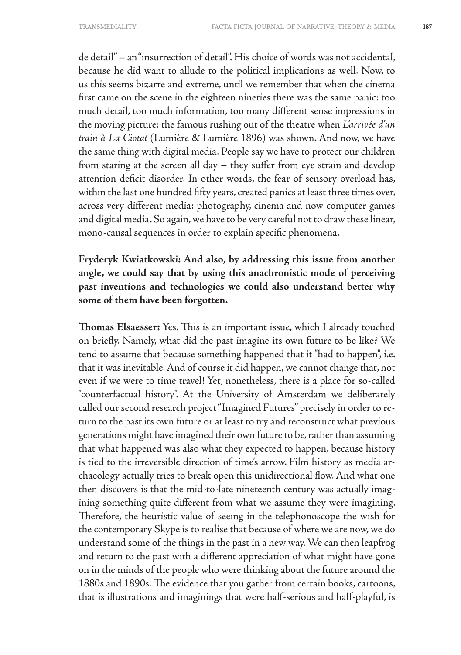de detail" – an "insurrection of detail". His choice of words was not accidental, because he did want to allude to the political implications as well. Now, to us this seems bizarre and extreme, until we remember that when the cinema first came on the scene in the eighteen nineties there was the same panic: too much detail, too much information, too many different sense impressions in the moving picture: the famous rushing out of the theatre when *L'arrivée d'un train à La Ciotat* (Lumière & Lumière 1896) was shown. And now, we have the same thing with digital media. People say we have to protect our children from staring at the screen all day – they suffer from eye strain and develop attention deficit disorder. In other words, the fear of sensory overload has, within the last one hundred fifty years, created panics at least three times over, across very different media: photography, cinema and now computer games and digital media. So again, we have to be very careful not to draw these linear, mono-causal sequences in order to explain specific phenomena.

## **Fryderyk Kwiatkowski: And also, by addressing this issue from another angle, we could say that by using this anachronistic mode of perceiving past inventions and technologies we could also understand better why some of them have been forgotten.**

**Thomas Elsaesser:** Yes. This is an important issue, which I already touched on briefly. Namely, what did the past imagine its own future to be like? We tend to assume that because something happened that it "had to happen", i.e. that it was inevitable. And of course it did happen, we cannot change that, not even if we were to time travel! Yet, nonetheless, there is a place for so-called "counterfactual history". At the University of Amsterdam we deliberately called our second research project "Imagined Futures" precisely in order to return to the past its own future or at least to try and reconstruct what previous generations might have imagined their own future to be, rather than assuming that what happened was also what they expected to happen, because history is tied to the irreversible direction of time's arrow. Film history as media archaeology actually tries to break open this unidirectional flow. And what one then discovers is that the mid-to-late nineteenth century was actually imagining something quite different from what we assume they were imagining. Therefore, the heuristic value of seeing in the telephonoscope the wish for the contemporary Skype is to realise that because of where we are now, we do understand some of the things in the past in a new way. We can then leapfrog and return to the past with a different appreciation of what might have gone on in the minds of the people who were thinking about the future around the 1880s and 1890s. The evidence that you gather from certain books, cartoons, that is illustrations and imaginings that were half-serious and half-playful, is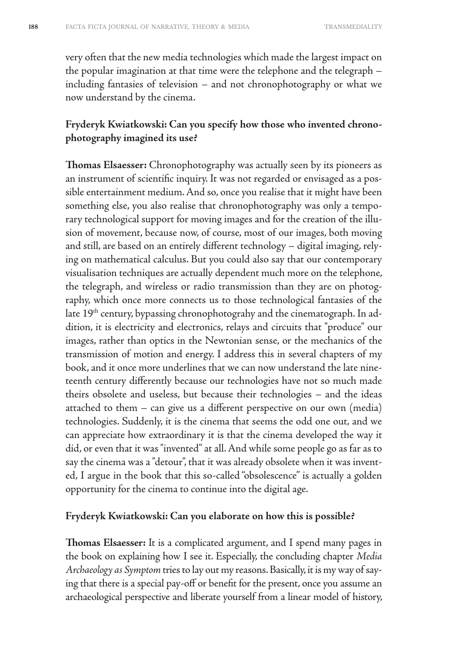very often that the new media technologies which made the largest impact on the popular imagination at that time were the telephone and the telegraph – including fantasies of television – and not chronophotography or what we now understand by the cinema.

#### **Fryderyk Kwiatkowski: Can you specify how those who invented chronophotography imagined its use?**

**Thomas Elsaesser:** Chronophotography was actually seen by its pioneers as an instrument of scientific inquiry. It was not regarded or envisaged as a possible entertainment medium. And so, once you realise that it might have been something else, you also realise that chronophotography was only a temporary technological support for moving images and for the creation of the illusion of movement, because now, of course, most of our images, both moving and still, are based on an entirely different technology – digital imaging, relying on mathematical calculus. But you could also say that our contemporary visualisation techniques are actually dependent much more on the telephone, the telegraph, and wireless or radio transmission than they are on photography, which once more connects us to those technological fantasies of the late 19<sup>th</sup> century, bypassing chronophotograhy and the cinematograph. In addition, it is electricity and electronics, relays and circuits that "produce" our images, rather than optics in the Newtonian sense, or the mechanics of the transmission of motion and energy. I address this in several chapters of my book, and it once more underlines that we can now understand the late nineteenth century differently because our technologies have not so much made theirs obsolete and useless, but because their technologies – and the ideas attached to them – can give us a different perspective on our own (media) technologies. Suddenly, it is the cinema that seems the odd one out, and we can appreciate how extraordinary it is that the cinema developed the way it did, or even that it was "invented" at all. And while some people go as far as to say the cinema was a "detour", that it was already obsolete when it was invented, I argue in the book that this so-called "obsolescence" is actually a golden opportunity for the cinema to continue into the digital age.

#### **Fryderyk Kwiatkowski: Can you elaborate on how this is possible?**

**Thomas Elsaesser:** It is a complicated argument, and I spend many pages in the book on explaining how I see it. Especially, the concluding chapter *Media Archaeology as Symptom* tries to lay out my reasons. Basically, it is my way of saying that there is a special pay-off or benefit for the present, once you assume an archaeological perspective and liberate yourself from a linear model of history,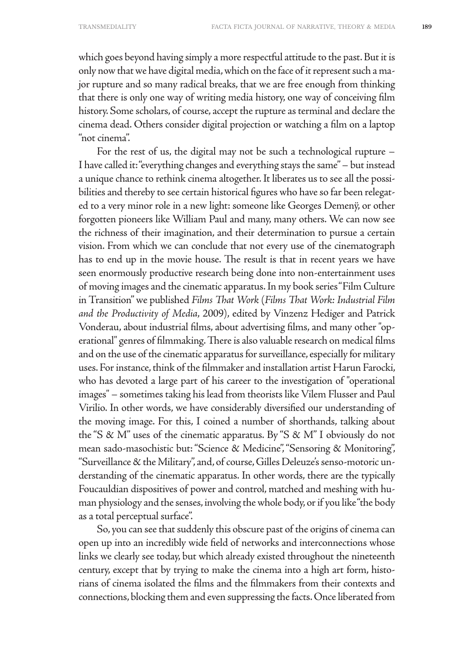which goes beyond having simply a more respectful attitude to the past. But it is only now that we have digital media, which on the face of it represent such a major rupture and so many radical breaks, that we are free enough from thinking that there is only one way of writing media history, one way of conceiving film history. Some scholars, of course, accept the rupture as terminal and declare the cinema dead. Others consider digital projection or watching a film on a laptop "not cinema".

For the rest of us, the digital may not be such a technological rupture – I have called it: "everything changes and everything stays the same" – but instead a unique chance to rethink cinema altogether. It liberates us to see all the possibilities and thereby to see certain historical figures who have so far been relegated to a very minor role in a new light: someone like Georges Demenÿ, or other forgotten pioneers like William Paul and many, many others. We can now see the richness of their imagination, and their determination to pursue a certain vision. From which we can conclude that not every use of the cinematograph has to end up in the movie house. The result is that in recent years we have seen enormously productive research being done into non-entertainment uses of moving images and the cinematic apparatus. In my book series "Film Culture in Transition" we published *Films That Work* (*Films That Work: Industrial Film and the Productivity of Media*, 2009), edited by Vinzenz Hediger and Patrick Vonderau, about industrial films, about advertising films, and many other "operational" genres of filmmaking. There is also valuable research on medical films and on the use of the cinematic apparatus for surveillance, especially for military uses. For instance, think of the filmmaker and installation artist Harun Farocki, who has devoted a large part of his career to the investigation of "operational images" – sometimes taking his lead from theorists like Vilem Flusser and Paul Virilio. In other words, we have considerably diversified our understanding of the moving image. For this, I coined a number of shorthands, talking about the "S & M" uses of the cinematic apparatus. By "S & M" I obviously do not mean sado-masochistic but: "Science & Medicine", "Sensoring & Monitoring", "Surveillance & the Military", and, of course, Gilles Deleuze's senso-motoric understanding of the cinematic apparatus. In other words, there are the typically Foucauldian dispositives of power and control, matched and meshing with human physiology and the senses, involving the whole body, or if you like "the body as a total perceptual surface".

So, you can see that suddenly this obscure past of the origins of cinema can open up into an incredibly wide field of networks and interconnections whose links we clearly see today, but which already existed throughout the nineteenth century, except that by trying to make the cinema into a high art form, historians of cinema isolated the films and the filmmakers from their contexts and connections, blocking them and even suppressing the facts. Once liberated from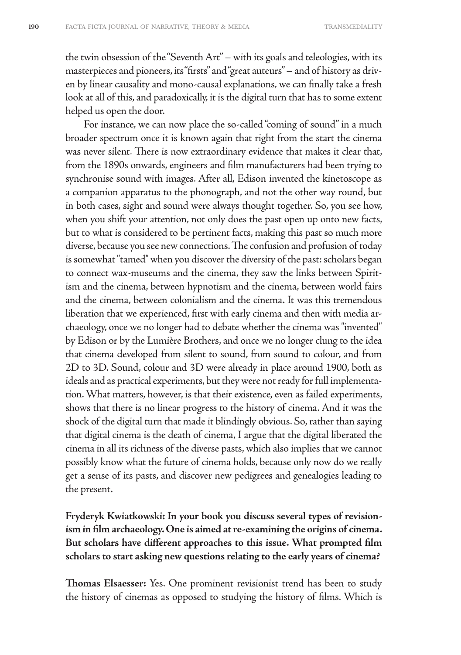the twin obsession of the "Seventh Art" – with its goals and teleologies, with its masterpieces and pioneers, its "firsts" and "great auteurs" – and of history as driven by linear causality and mono-causal explanations, we can finally take a fresh look at all of this, and paradoxically, it is the digital turn that has to some extent helped us open the door.

For instance, we can now place the so-called "coming of sound" in a much broader spectrum once it is known again that right from the start the cinema was never silent. There is now extraordinary evidence that makes it clear that, from the 1890s onwards, engineers and film manufacturers had been trying to synchronise sound with images. After all, Edison invented the kinetoscope as a companion apparatus to the phonograph, and not the other way round, but in both cases, sight and sound were always thought together. So, you see how, when you shift your attention, not only does the past open up onto new facts, but to what is considered to be pertinent facts, making this past so much more diverse, because you see new connections. The confusion and profusion of today is somewhat "tamed" when you discover the diversity of the past: scholars began to connect wax-museums and the cinema, they saw the links between Spiritism and the cinema, between hypnotism and the cinema, between world fairs and the cinema, between colonialism and the cinema. It was this tremendous liberation that we experienced, first with early cinema and then with media archaeology, once we no longer had to debate whether the cinema was "invented" by Edison or by the Lumière Brothers, and once we no longer clung to the idea that cinema developed from silent to sound, from sound to colour, and from 2D to 3D. Sound, colour and 3D were already in place around 1900, both as ideals and as practical experiments, but they were not ready for full implementation. What matters, however, is that their existence, even as failed experiments, shows that there is no linear progress to the history of cinema. And it was the shock of the digital turn that made it blindingly obvious. So, rather than saying that digital cinema is the death of cinema, I argue that the digital liberated the cinema in all its richness of the diverse pasts, which also implies that we cannot possibly know what the future of cinema holds, because only now do we really get a sense of its pasts, and discover new pedigrees and genealogies leading to the present.

**Fryderyk Kwiatkowski: In your book you discuss several types of revisionism in film archaeology. One is aimed at re-examining the origins of cinema. But scholars have different approaches to this issue. What prompted film scholars to start asking new questions relating to the early years of cinema?**

**Thomas Elsaesser:** Yes. One prominent revisionist trend has been to study the history of cinemas as opposed to studying the history of films. Which is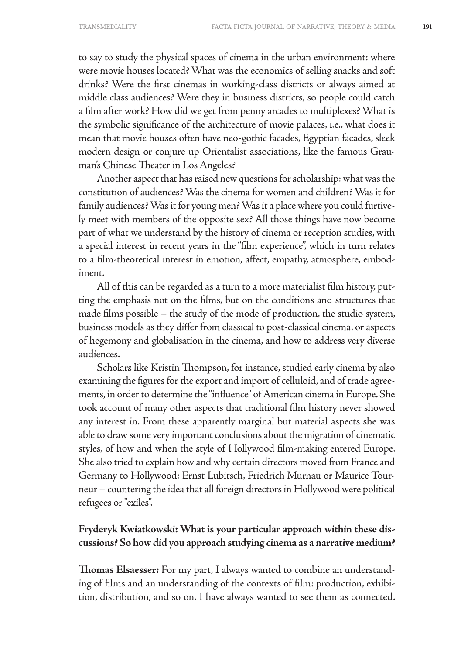to say to study the physical spaces of cinema in the urban environment: where were movie houses located? What was the economics of selling snacks and soft drinks? Were the first cinemas in working-class districts or always aimed at middle class audiences? Were they in business districts, so people could catch a film after work? How did we get from penny arcades to multiplexes? What is the symbolic significance of the architecture of movie palaces, i.e., what does it mean that movie houses often have neo-gothic facades, Egyptian facades, sleek modern design or conjure up Orientalist associations, like the famous Grauman's Chinese Theater in Los Angeles?

Another aspect that has raised new questions for scholarship: what was the constitution of audiences? Was the cinema for women and children? Was it for family audiences? Was it for young men? Was it a place where you could furtively meet with members of the opposite sex? All those things have now become part of what we understand by the history of cinema or reception studies, with a special interest in recent years in the "film experience", which in turn relates to a film-theoretical interest in emotion, affect, empathy, atmosphere, embodiment.

All of this can be regarded as a turn to a more materialist film history, putting the emphasis not on the films, but on the conditions and structures that made films possible – the study of the mode of production, the studio system, business models as they differ from classical to post-classical cinema, or aspects of hegemony and globalisation in the cinema, and how to address very diverse audiences.

Scholars like Kristin Thompson, for instance, studied early cinema by also examining the figures for the export and import of celluloid, and of trade agreements, in order to determine the "influence" of American cinema in Europe. She took account of many other aspects that traditional film history never showed any interest in. From these apparently marginal but material aspects she was able to draw some very important conclusions about the migration of cinematic styles, of how and when the style of Hollywood film-making entered Europe. She also tried to explain how and why certain directors moved from France and Germany to Hollywood: Ernst Lubitsch, Friedrich Murnau or Maurice Tourneur – countering the idea that all foreign directors in Hollywood were political refugees or "exiles".

#### **Fryderyk Kwiatkowski: What is your particular approach within these discussions? So how did you approach studying cinema as a narrative medium?**

**Thomas Elsaesser:** For my part, I always wanted to combine an understanding of films and an understanding of the contexts of film: production, exhibition, distribution, and so on. I have always wanted to see them as connected.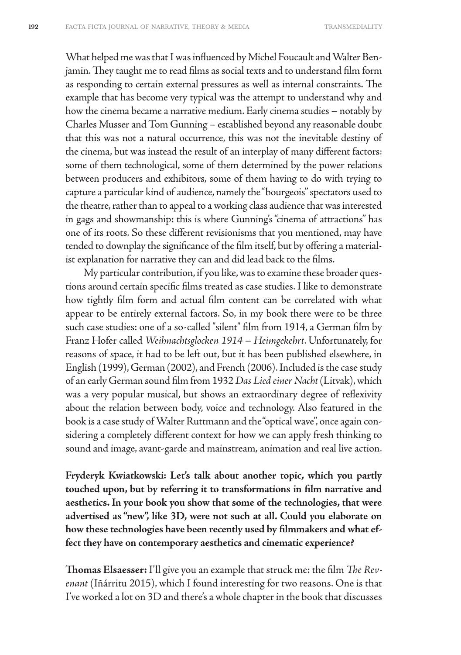What helped me was that I was influenced by Michel Foucault and Walter Benjamin. They taught me to read films as social texts and to understand film form as responding to certain external pressures as well as internal constraints. The example that has become very typical was the attempt to understand why and how the cinema became a narrative medium. Early cinema studies – notably by Charles Musser and Tom Gunning – established beyond any reasonable doubt that this was not a natural occurrence, this was not the inevitable destiny of the cinema, but was instead the result of an interplay of many different factors: some of them technological, some of them determined by the power relations between producers and exhibitors, some of them having to do with trying to capture a particular kind of audience, namely the "bourgeois" spectators used to the theatre, rather than to appeal to a working class audience that was interested in gags and showmanship: this is where Gunning's "cinema of attractions" has one of its roots. So these different revisionisms that you mentioned, may have tended to downplay the significance of the film itself, but by offering a materialist explanation for narrative they can and did lead back to the films.

My particular contribution, if you like, was to examine these broader questions around certain specific films treated as case studies. I like to demonstrate how tightly film form and actual film content can be correlated with what appear to be entirely external factors. So, in my book there were to be three such case studies: one of a so-called "silent" film from 1914, a German film by Franz Hofer called *Weihnachtsglocken 1914 – Heimgekehrt*. Unfortunately, for reasons of space, it had to be left out, but it has been published elsewhere, in English (1999), German (2002), and French (2006). Included is the case study of an early German sound film from 1932 *Das Lied einer Nacht* (Litvak), which was a very popular musical, but shows an extraordinary degree of reflexivity about the relation between body, voice and technology. Also featured in the book is a case study of Walter Ruttmann and the "optical wave", once again considering a completely different context for how we can apply fresh thinking to sound and image, avant-garde and mainstream, animation and real live action.

**Fryderyk Kwiatkowski: Let's talk about another topic, which you partly touched upon, but by referring it to transformations in film narrative and aesthetics. In your book you show that some of the technologies, that were advertised as "new", like 3D, were not such at all. Could you elaborate on how these technologies have been recently used by filmmakers and what effect they have on contemporary aesthetics and cinematic experience?** 

**Thomas Elsaesser:** I'll give you an example that struck me: the film *The Revenant* (Iñárritu 2015), which I found interesting for two reasons. One is that I've worked a lot on 3D and there's a whole chapter in the book that discusses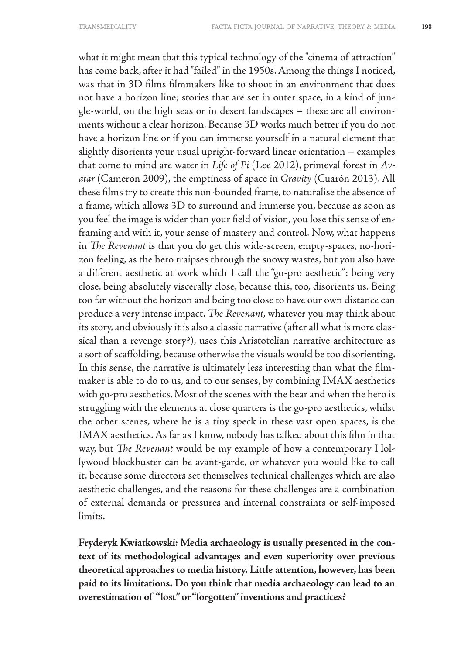what it might mean that this typical technology of the "cinema of attraction" has come back, after it had "failed" in the 1950s. Among the things I noticed, was that in 3D films filmmakers like to shoot in an environment that does not have a horizon line; stories that are set in outer space, in a kind of jungle-world, on the high seas or in desert landscapes – these are all environments without a clear horizon. Because 3D works much better if you do not have a horizon line or if you can immerse yourself in a natural element that slightly disorients your usual upright-forward linear orientation – examples that come to mind are water in *Life of Pi* (Lee 2012), primeval forest in *Avatar* (Cameron 2009), the emptiness of space in *Gravity* (Cuarón 2013). All these films try to create this non-bounded frame, to naturalise the absence of a frame, which allows 3D to surround and immerse you, because as soon as you feel the image is wider than your field of vision, you lose this sense of enframing and with it, your sense of mastery and control. Now, what happens in *The Revenant* is that you do get this wide-screen, empty-spaces, no-horizon feeling, as the hero traipses through the snowy wastes, but you also have a different aesthetic at work which I call the "go-pro aesthetic": being very close, being absolutely viscerally close, because this, too, disorients us. Being too far without the horizon and being too close to have our own distance can produce a very intense impact. *The Revenant*, whatever you may think about its story, and obviously it is also a classic narrative (after all what is more classical than a revenge story?), uses this Aristotelian narrative architecture as a sort of scaffolding, because otherwise the visuals would be too disorienting. In this sense, the narrative is ultimately less interesting than what the filmmaker is able to do to us, and to our senses, by combining IMAX aesthetics with go-pro aesthetics. Most of the scenes with the bear and when the hero is struggling with the elements at close quarters is the go-pro aesthetics, whilst the other scenes, where he is a tiny speck in these vast open spaces, is the IMAX aesthetics. As far as I know, nobody has talked about this film in that way, but *The Revenant* would be my example of how a contemporary Hollywood blockbuster can be avant-garde, or whatever you would like to call it, because some directors set themselves technical challenges which are also aesthetic challenges, and the reasons for these challenges are a combination of external demands or pressures and internal constraints or self-imposed limits.

**Fryderyk Kwiatkowski: Media archaeology is usually presented in the context of its methodological advantages and even superiority over previous theoretical approaches to media history. Little attention, however, has been paid to its limitations. Do you think that media archaeology can lead to an overestimation of "lost" or "forgotten" inventions and practices?**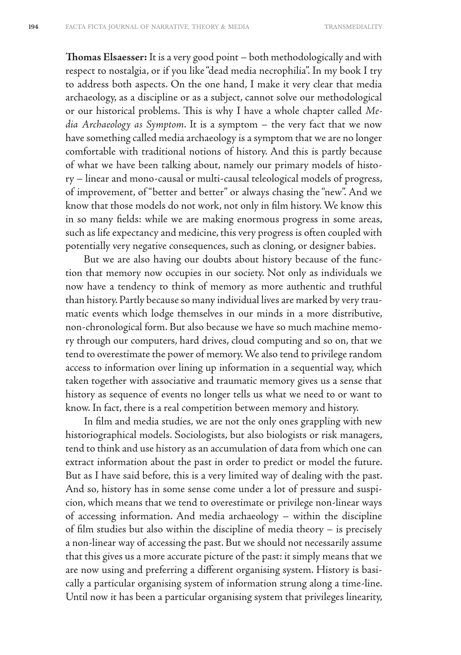**Thomas Elsaesser:** It is a very good point – both methodologically and with respect to nostalgia, or if you like "dead media necrophilia". In my book I try to address both aspects. On the one hand, I make it very clear that media archaeology, as a discipline or as a subject, cannot solve our methodological or our historical problems. This is why I have a whole chapter called *Media Archaeology as Symptom*. It is a symptom – the very fact that we now have something called media archaeology is a symptom that we are no longer comfortable with traditional notions of history. And this is partly because of what we have been talking about, namely our primary models of history – linear and mono-causal or multi-causal teleological models of progress, of improvement, of "better and better" or always chasing the "new". And we know that those models do not work, not only in film history. We know this in so many fields: while we are making enormous progress in some areas, such as life expectancy and medicine, this very progress is often coupled with potentially very negative consequences, such as cloning, or designer babies.

But we are also having our doubts about history because of the function that memory now occupies in our society. Not only as individuals we now have a tendency to think of memory as more authentic and truthful than history. Partly because so many individual lives are marked by very traumatic events which lodge themselves in our minds in a more distributive, non-chronological form. But also because we have so much machine memory through our computers, hard drives, cloud computing and so on, that we tend to overestimate the power of memory. We also tend to privilege random access to information over lining up information in a sequential way, which taken together with associative and traumatic memory gives us a sense that history as sequence of events no longer tells us what we need to or want to know. In fact, there is a real competition between memory and history.

In film and media studies, we are not the only ones grappling with new historiographical models. Sociologists, but also biologists or risk managers, tend to think and use history as an accumulation of data from which one can extract information about the past in order to predict or model the future. But as I have said before, this is a very limited way of dealing with the past. And so, history has in some sense come under a lot of pressure and suspicion, which means that we tend to overestimate or privilege non-linear ways of accessing information. And media archaeology – within the discipline of film studies but also within the discipline of media theory – is precisely a non-linear way of accessing the past. But we should not necessarily assume that this gives us a more accurate picture of the past: it simply means that we are now using and preferring a different organising system. History is basically a particular organising system of information strung along a time-line. Until now it has been a particular organising system that privileges linearity,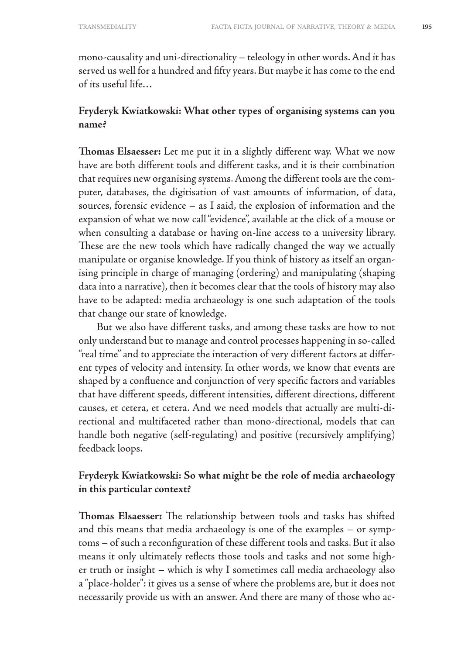mono-causality and uni-directionality – teleology in other words. And it has served us well for a hundred and fifty years. But maybe it has come to the end of its useful life…

#### **Fryderyk Kwiatkowski: What other types of organising systems can you name?**

**Thomas Elsaesser:** Let me put it in a slightly different way. What we now have are both different tools and different tasks, and it is their combination that requires new organising systems. Among the different tools are the computer, databases, the digitisation of vast amounts of information, of data, sources, forensic evidence – as I said, the explosion of information and the expansion of what we now call "evidence", available at the click of a mouse or when consulting a database or having on-line access to a university library. These are the new tools which have radically changed the way we actually manipulate or organise knowledge. If you think of history as itself an organising principle in charge of managing (ordering) and manipulating (shaping data into a narrative), then it becomes clear that the tools of history may also have to be adapted: media archaeology is one such adaptation of the tools that change our state of knowledge.

But we also have different tasks, and among these tasks are how to not only understand but to manage and control processes happening in so-called "real time" and to appreciate the interaction of very different factors at different types of velocity and intensity. In other words, we know that events are shaped by a confluence and conjunction of very specific factors and variables that have different speeds, different intensities, different directions, different causes, et cetera, et cetera. And we need models that actually are multi-directional and multifaceted rather than mono-directional, models that can handle both negative (self-regulating) and positive (recursively amplifying) feedback loops.

#### **Fryderyk Kwiatkowski: So what might be the role of media archaeology in this particular context?**

**Thomas Elsaesser:** The relationship between tools and tasks has shifted and this means that media archaeology is one of the examples – or symptoms – of such a reconfiguration of these different tools and tasks. But it also means it only ultimately reflects those tools and tasks and not some higher truth or insight – which is why I sometimes call media archaeology also a "place-holder": it gives us a sense of where the problems are, but it does not necessarily provide us with an answer. And there are many of those who ac-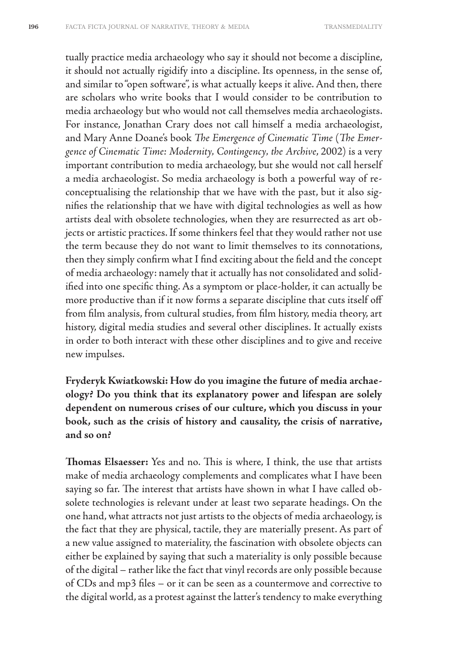tually practice media archaeology who say it should not become a discipline, it should not actually rigidify into a discipline. Its openness, in the sense of, and similar to "open software", is what actually keeps it alive. And then, there are scholars who write books that I would consider to be contribution to media archaeology but who would not call themselves media archaeologists. For instance, Jonathan Crary does not call himself a media archaeologist, and Mary Anne Doane's book *The Emergence of Cinematic Time* (*The Emergence of Cinematic Time: Modernity, Contingency, the Archive*, 2002) is a very important contribution to media archaeology, but she would not call herself a media archaeologist. So media archaeology is both a powerful way of reconceptualising the relationship that we have with the past, but it also signifies the relationship that we have with digital technologies as well as how artists deal with obsolete technologies, when they are resurrected as art objects or artistic practices. If some thinkers feel that they would rather not use the term because they do not want to limit themselves to its connotations, then they simply confirm what I find exciting about the field and the concept of media archaeology: namely that it actually has not consolidated and solidified into one specific thing. As a symptom or place-holder, it can actually be more productive than if it now forms a separate discipline that cuts itself off from film analysis, from cultural studies, from film history, media theory, art history, digital media studies and several other disciplines. It actually exists in order to both interact with these other disciplines and to give and receive new impulses.

**Fryderyk Kwiatkowski: How do you imagine the future of media archaeology? Do you think that its explanatory power and lifespan are solely dependent on numerous crises of our culture, which you discuss in your book, such as the crisis of history and causality, the crisis of narrative, and so on?**

**Thomas Elsaesser:** Yes and no. This is where, I think, the use that artists make of media archaeology complements and complicates what I have been saying so far. The interest that artists have shown in what I have called obsolete technologies is relevant under at least two separate headings. On the one hand, what attracts not just artists to the objects of media archaeology, is the fact that they are physical, tactile, they are materially present. As part of a new value assigned to materiality, the fascination with obsolete objects can either be explained by saying that such a materiality is only possible because of the digital – rather like the fact that vinyl records are only possible because of CDs and mp3 files – or it can be seen as a countermove and corrective to the digital world, as a protest against the latter's tendency to make everything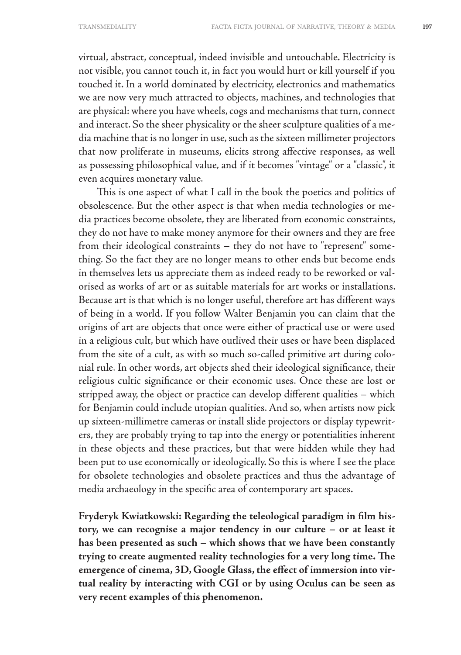virtual, abstract, conceptual, indeed invisible and untouchable. Electricity is not visible, you cannot touch it, in fact you would hurt or kill yourself if you touched it. In a world dominated by electricity, electronics and mathematics we are now very much attracted to objects, machines, and technologies that are physical: where you have wheels, cogs and mechanisms that turn, connect and interact. So the sheer physicality or the sheer sculpture qualities of a media machine that is no longer in use, such as the sixteen millimeter projectors that now proliferate in museums, elicits strong affective responses, as well as possessing philosophical value, and if it becomes "vintage" or a "classic", it even acquires monetary value.

This is one aspect of what I call in the book the poetics and politics of obsolescence. But the other aspect is that when media technologies or media practices become obsolete, they are liberated from economic constraints, they do not have to make money anymore for their owners and they are free from their ideological constraints – they do not have to "represent" something. So the fact they are no longer means to other ends but become ends in themselves lets us appreciate them as indeed ready to be reworked or valorised as works of art or as suitable materials for art works or installations. Because art is that which is no longer useful, therefore art has different ways of being in a world. If you follow Walter Benjamin you can claim that the origins of art are objects that once were either of practical use or were used in a religious cult, but which have outlived their uses or have been displaced from the site of a cult, as with so much so-called primitive art during colonial rule. In other words, art objects shed their ideological significance, their religious cultic significance or their economic uses. Once these are lost or stripped away, the object or practice can develop different qualities – which for Benjamin could include utopian qualities. And so, when artists now pick up sixteen-millimetre cameras or install slide projectors or display typewriters, they are probably trying to tap into the energy or potentialities inherent in these objects and these practices, but that were hidden while they had been put to use economically or ideologically. So this is where I see the place for obsolete technologies and obsolete practices and thus the advantage of media archaeology in the specific area of contemporary art spaces.

**Fryderyk Kwiatkowski: Regarding the teleological paradigm in film history, we can recognise a major tendency in our culture – or at least it has been presented as such – which shows that we have been constantly trying to create augmented reality technologies for a very long time. The emergence of cinema, 3D, Google Glass, the effect of immersion into virtual reality by interacting with CGI or by using Oculus can be seen as very recent examples of this phenomenon.**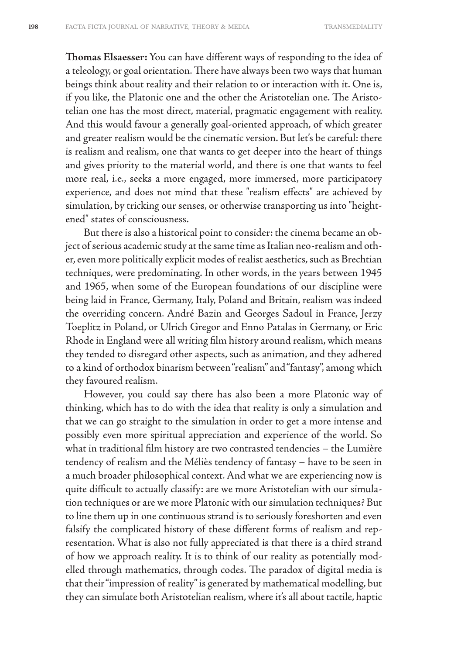**Thomas Elsaesser:** You can have different ways of responding to the idea of a teleology, or goal orientation. There have always been two ways that human beings think about reality and their relation to or interaction with it. One is, if you like, the Platonic one and the other the Aristotelian one. The Aristotelian one has the most direct, material, pragmatic engagement with reality. And this would favour a generally goal-oriented approach, of which greater and greater realism would be the cinematic version. But let's be careful: there is realism and realism, one that wants to get deeper into the heart of things and gives priority to the material world, and there is one that wants to feel more real, i.e., seeks a more engaged, more immersed, more participatory experience, and does not mind that these "realism effects" are achieved by simulation, by tricking our senses, or otherwise transporting us into "heightened" states of consciousness.

But there is also a historical point to consider: the cinema became an object of serious academic study at the same time as Italian neo-realism and other, even more politically explicit modes of realist aesthetics, such as Brechtian techniques, were predominating. In other words, in the years between 1945 and 1965, when some of the European foundations of our discipline were being laid in France, Germany, Italy, Poland and Britain, realism was indeed the overriding concern. André Bazin and Georges Sadoul in France, Jerzy Toeplitz in Poland, or Ulrich Gregor and Enno Patalas in Germany, or Eric Rhode in England were all writing film history around realism, which means they tended to disregard other aspects, such as animation, and they adhered to a kind of orthodox binarism between "realism" and "fantasy", among which they favoured realism.

However, you could say there has also been a more Platonic way of thinking, which has to do with the idea that reality is only a simulation and that we can go straight to the simulation in order to get a more intense and possibly even more spiritual appreciation and experience of the world. So what in traditional film history are two contrasted tendencies – the Lumière tendency of realism and the Méliès tendency of fantasy – have to be seen in a much broader philosophical context. And what we are experiencing now is quite difficult to actually classify: are we more Aristotelian with our simulation techniques or are we more Platonic with our simulation techniques? But to line them up in one continuous strand is to seriously foreshorten and even falsify the complicated history of these different forms of realism and representation. What is also not fully appreciated is that there is a third strand of how we approach reality. It is to think of our reality as potentially modelled through mathematics, through codes. The paradox of digital media is that their "impression of reality" is generated by mathematical modelling, but they can simulate both Aristotelian realism, where it's all about tactile, haptic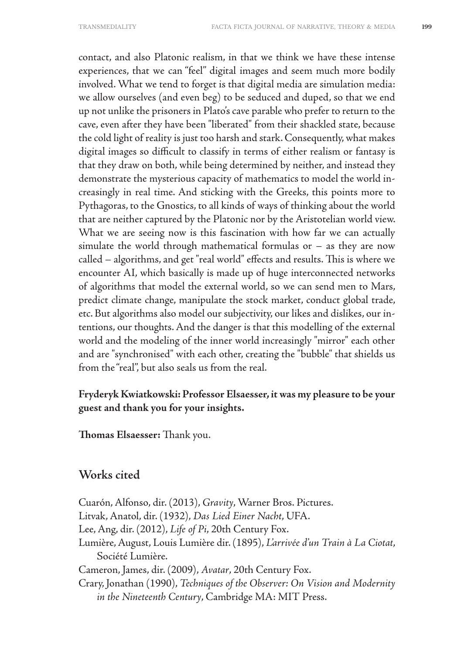contact, and also Platonic realism, in that we think we have these intense experiences, that we can "feel" digital images and seem much more bodily involved. What we tend to forget is that digital media are simulation media: we allow ourselves (and even beg) to be seduced and duped, so that we end up not unlike the prisoners in Plato's cave parable who prefer to return to the cave, even after they have been "liberated" from their shackled state, because the cold light of reality is just too harsh and stark. Consequently, what makes digital images so difficult to classify in terms of either realism or fantasy is that they draw on both, while being determined by neither, and instead they demonstrate the mysterious capacity of mathematics to model the world increasingly in real time. And sticking with the Greeks, this points more to Pythagoras, to the Gnostics, to all kinds of ways of thinking about the world that are neither captured by the Platonic nor by the Aristotelian world view. What we are seeing now is this fascination with how far we can actually simulate the world through mathematical formulas or  $-$  as they are now called – algorithms, and get "real world" effects and results. This is where we encounter AI, which basically is made up of huge interconnected networks of algorithms that model the external world, so we can send men to Mars, predict climate change, manipulate the stock market, conduct global trade, etc. But algorithms also model our subjectivity, our likes and dislikes, our intentions, our thoughts. And the danger is that this modelling of the external world and the modeling of the inner world increasingly "mirror" each other and are "synchronised" with each other, creating the "bubble" that shields us from the "real", but also seals us from the real.

#### **Fryderyk Kwiatkowski: Professor Elsaesser, it was my pleasure to be your guest and thank you for your insights.**

**Thomas Elsaesser:** Thank you.

## **Works cited**

Cuarón, Alfonso, dir. (2013), *Gravity*, Warner Bros. Pictures. Litvak, Anatol, dir. (1932), *Das Lied Einer Nacht*, UFA. Lee, Ang, dir. (2012), *Life of Pi*, 20th Century Fox. Lumière, August, Louis Lumière dir. (1895), *L'arrivée d'un Train à La Ciotat*, Société Lumière. Cameron, James, dir. (2009), *Avatar*, 20th Century Fox. Crary, Jonathan (1990), *Techniques of the Observer: On Vision and Modernity in the Nineteenth Century*, Cambridge MA: MIT Press.